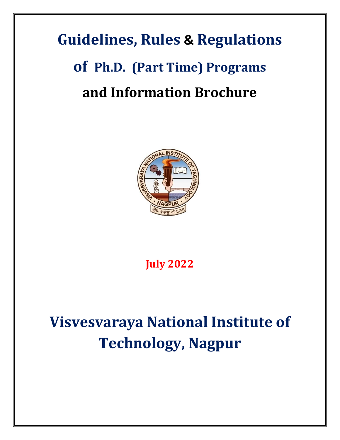# **Guidelines, Rules & Regulations of Ph.D. (Part Time) Programs and Information Brochure**



**July 2022**

## **Visvesvaraya National Institute of Technology, Nagpur**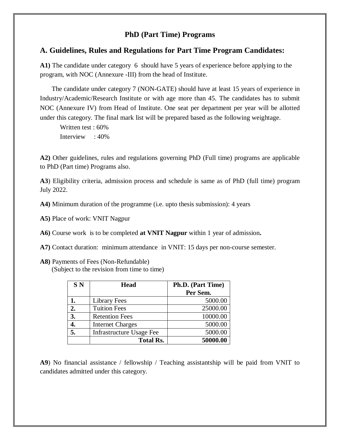### **PhD (Part Time) Programs**

#### **A. Guidelines, Rules and Regulations for Part Time Program Candidates:**

**A1)** The candidate under category 6 should have 5 years of experience before applying to the program, with NOC (Annexure -III) from the head of Institute.

 The candidate under category 7 (NON-GATE) should have at least 15 years of experience in Industry/Academic/Research Institute or with age more than 45. The candidates has to submit NOC (Annexure IV) from Head of Institute. One seat per department per year will be allotted under this category. The final mark list will be prepared based as the following weightage.

Written test : 60% Interview : 40%

**A2)** Other guidelines, rules and regulations governing PhD (Full time) programs are applicable to PhD (Part time) Programs also.

**A3**) Eligibility criteria, admission process and schedule is same as of PhD (full time) program July 2022.

**A4)** Minimum duration of the programme (i.e. upto thesis submission): 4 years

**A5)** Place of work: VNIT Nagpur

**A6)** Course work is to be completed **at VNIT Nagpur** within 1 year of admission**.**

- **A7)** Contact duration: minimum attendance in VNIT: 15 days per non-course semester.
- **A8)** Payments of Fees (Non-Refundable) (Subject to the revision from time to time)

| SN | <b>Head</b>                     | Ph.D. (Part Time) |
|----|---------------------------------|-------------------|
|    |                                 | Per Sem.          |
|    | Library Fees                    | 5000.00           |
| 2. | <b>Tuition Fees</b>             | 25000.00          |
| 3. | <b>Retention Fees</b>           | 10000.00          |
| 4. | <b>Internet Charges</b>         | 5000.00           |
| 5. | <b>Infrastructure Usage Fee</b> | 5000.00           |
|    | <b>Total Rs.</b>                | 50000.00          |

**A9**) No financial assistance / fellowship / Teaching assistantship will be paid from VNIT to candidates admitted under this category.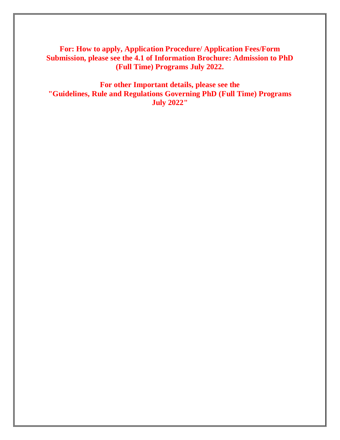**For: How to apply, Application Procedure/ Application Fees/Form Submission, please see the 4.1 of Information Brochure: Admission to PhD (Full Time) Programs July 2022.**

**For other Important details, please see the "Guidelines, Rule and Regulations Governing PhD (Full Time) Programs July 2022"**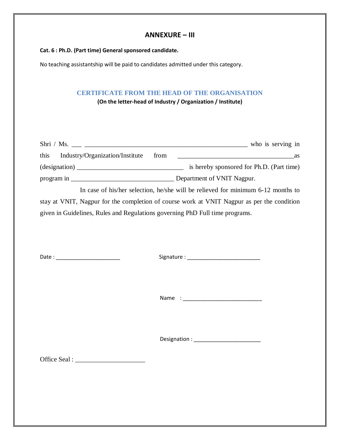#### **ANNEXURE – III**

#### **Cat. 6 : Ph.D. (Part time) General sponsored candidate.**

No teaching assistantship will be paid to candidates admitted under this category.

#### **CERTIFICATE FROM THE HEAD OF THE ORGANISATION**

**(On the letter-head of Industry / Organization / Institute)**

| Shri / Ms. $\frac{1}{\sqrt{1 - \frac{1}{\sqrt{1 - \frac{1}{\sqrt{1 - \frac{1}{\sqrt{1 - \frac{1}{\sqrt{1 - \frac{1}{\sqrt{1 - \frac{1}{\sqrt{1 - \frac{1}{\sqrt{1 - \frac{1}{\sqrt{1 - \frac{1}{\sqrt{1 - \frac{1}{\sqrt{1 - \frac{1}{\sqrt{1 - \frac{1}{\sqrt{1 - \frac{1}{\sqrt{1 - \frac{1}{\sqrt{1 - \frac{1}{\sqrt{1 - \frac{1}{\sqrt{1 - \frac{1}{\sqrt{1 - \frac{1}{\sqrt{1 - \frac{1}{\sqrt{1 - \frac{1}{\sqrt{1$ |                                                                                  |  |  |  |
|---------------------------------------------------------------------------------------------------------------------------------------------------------------------------------------------------------------------------------------------------------------------------------------------------------------------------------------------------------------------------------------------------------------------------|----------------------------------------------------------------------------------|--|--|--|
|                                                                                                                                                                                                                                                                                                                                                                                                                           |                                                                                  |  |  |  |
| $\frac{1}{\text{dissipation}}$                                                                                                                                                                                                                                                                                                                                                                                            | is hereby sponsored for Ph.D. (Part time)                                        |  |  |  |
|                                                                                                                                                                                                                                                                                                                                                                                                                           |                                                                                  |  |  |  |
|                                                                                                                                                                                                                                                                                                                                                                                                                           | In case of his/her selection, he/she will be relieved for minimum 6-12 months to |  |  |  |
| stay at VNIT, Nagpur for the completion of course work at VNIT Nagpur as per the condition                                                                                                                                                                                                                                                                                                                                |                                                                                  |  |  |  |
| given in Guidelines, Rules and Regulations governing PhD Full time programs.                                                                                                                                                                                                                                                                                                                                              |                                                                                  |  |  |  |
|                                                                                                                                                                                                                                                                                                                                                                                                                           |                                                                                  |  |  |  |
|                                                                                                                                                                                                                                                                                                                                                                                                                           |                                                                                  |  |  |  |
|                                                                                                                                                                                                                                                                                                                                                                                                                           |                                                                                  |  |  |  |
| Date: ___________________________                                                                                                                                                                                                                                                                                                                                                                                         |                                                                                  |  |  |  |
|                                                                                                                                                                                                                                                                                                                                                                                                                           |                                                                                  |  |  |  |
|                                                                                                                                                                                                                                                                                                                                                                                                                           |                                                                                  |  |  |  |
|                                                                                                                                                                                                                                                                                                                                                                                                                           |                                                                                  |  |  |  |
|                                                                                                                                                                                                                                                                                                                                                                                                                           |                                                                                  |  |  |  |
|                                                                                                                                                                                                                                                                                                                                                                                                                           |                                                                                  |  |  |  |

Designation : \_\_\_\_\_\_\_\_\_\_\_\_\_\_\_\_\_\_\_\_\_\_

Office Seal : \_\_\_\_\_\_\_\_\_\_\_\_\_\_\_\_\_\_\_\_\_